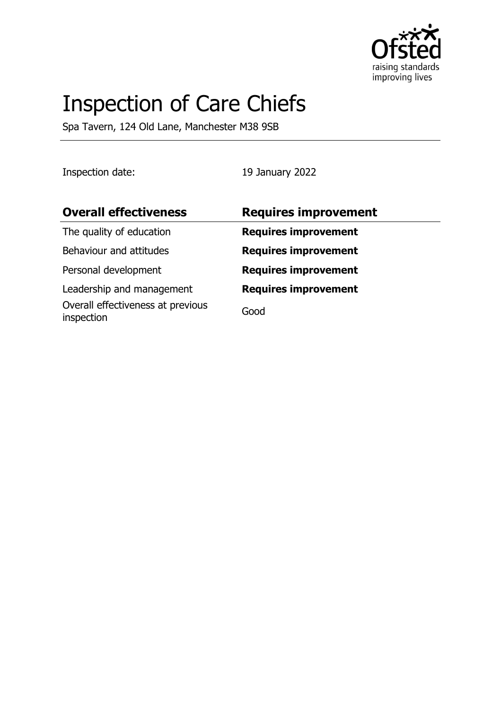

# Inspection of Care Chiefs

Spa Tavern, 124 Old Lane, Manchester M38 9SB

Inspection date: 19 January 2022

| <b>Overall effectiveness</b>                    | <b>Requires improvement</b> |
|-------------------------------------------------|-----------------------------|
| The quality of education                        | <b>Requires improvement</b> |
| Behaviour and attitudes                         | <b>Requires improvement</b> |
| Personal development                            | <b>Requires improvement</b> |
| Leadership and management                       | <b>Requires improvement</b> |
| Overall effectiveness at previous<br>inspection | Good                        |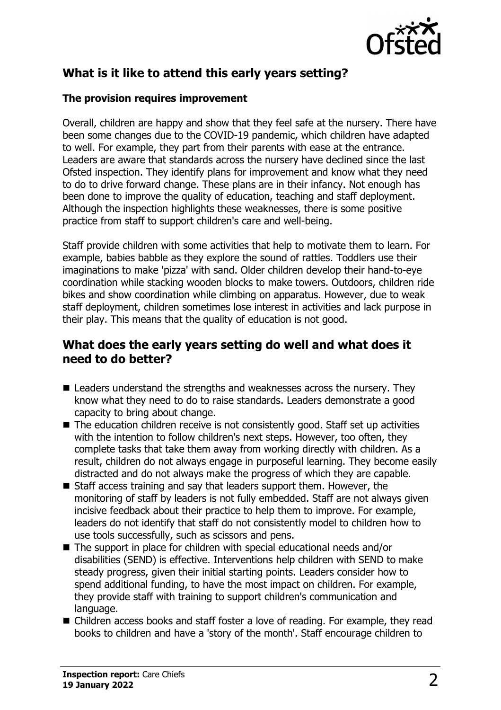

# **What is it like to attend this early years setting?**

#### **The provision requires improvement**

Overall, children are happy and show that they feel safe at the nursery. There have been some changes due to the COVID-19 pandemic, which children have adapted to well. For example, they part from their parents with ease at the entrance. Leaders are aware that standards across the nursery have declined since the last Ofsted inspection. They identify plans for improvement and know what they need to do to drive forward change. These plans are in their infancy. Not enough has been done to improve the quality of education, teaching and staff deployment. Although the inspection highlights these weaknesses, there is some positive practice from staff to support children's care and well-being.

Staff provide children with some activities that help to motivate them to learn. For example, babies babble as they explore the sound of rattles. Toddlers use their imaginations to make 'pizza' with sand. Older children develop their hand-to-eye coordination while stacking wooden blocks to make towers. Outdoors, children ride bikes and show coordination while climbing on apparatus. However, due to weak staff deployment, children sometimes lose interest in activities and lack purpose in their play. This means that the quality of education is not good.

### **What does the early years setting do well and what does it need to do better?**

- $\blacksquare$  Leaders understand the strengths and weaknesses across the nursery. They know what they need to do to raise standards. Leaders demonstrate a good capacity to bring about change.
- $\blacksquare$  The education children receive is not consistently good. Staff set up activities with the intention to follow children's next steps. However, too often, they complete tasks that take them away from working directly with children. As a result, children do not always engage in purposeful learning. They become easily distracted and do not always make the progress of which they are capable.
- $\blacksquare$  Staff access training and say that leaders support them. However, the monitoring of staff by leaders is not fully embedded. Staff are not always given incisive feedback about their practice to help them to improve. For example, leaders do not identify that staff do not consistently model to children how to use tools successfully, such as scissors and pens.
- $\blacksquare$  The support in place for children with special educational needs and/or disabilities (SEND) is effective. Interventions help children with SEND to make steady progress, given their initial starting points. Leaders consider how to spend additional funding, to have the most impact on children. For example, they provide staff with training to support children's communication and language.
- Children access books and staff foster a love of reading. For example, they read books to children and have a 'story of the month'. Staff encourage children to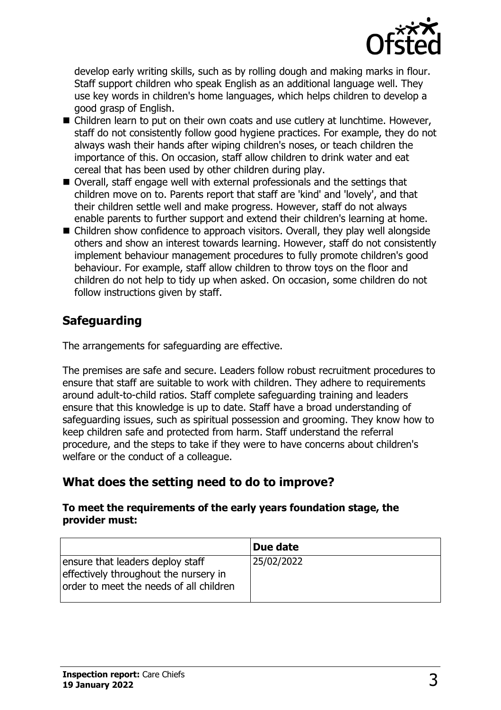

develop early writing skills, such as by rolling dough and making marks in flour. Staff support children who speak English as an additional language well. They use key words in children's home languages, which helps children to develop a good grasp of English.

- Children learn to put on their own coats and use cutlery at lunchtime. However, staff do not consistently follow good hygiene practices. For example, they do not always wash their hands after wiping children's noses, or teach children the importance of this. On occasion, staff allow children to drink water and eat cereal that has been used by other children during play.
- Overall, staff engage well with external professionals and the settings that children move on to. Parents report that staff are 'kind' and 'lovely', and that their children settle well and make progress. However, staff do not always enable parents to further support and extend their children's learning at home.
- $\blacksquare$  Children show confidence to approach visitors. Overall, they play well alongside others and show an interest towards learning. However, staff do not consistently implement behaviour management procedures to fully promote children's good behaviour. For example, staff allow children to throw toys on the floor and children do not help to tidy up when asked. On occasion, some children do not follow instructions given by staff.

## **Safeguarding**

The arrangements for safeguarding are effective.

The premises are safe and secure. Leaders follow robust recruitment procedures to ensure that staff are suitable to work with children. They adhere to requirements around adult-to-child ratios. Staff complete safeguarding training and leaders ensure that this knowledge is up to date. Staff have a broad understanding of safeguarding issues, such as spiritual possession and grooming. They know how to keep children safe and protected from harm. Staff understand the referral procedure, and the steps to take if they were to have concerns about children's welfare or the conduct of a colleague.

## **What does the setting need to do to improve?**

#### **To meet the requirements of the early years foundation stage, the provider must:**

|                                                                                                                      | Due date   |
|----------------------------------------------------------------------------------------------------------------------|------------|
| ensure that leaders deploy staff<br>effectively throughout the nursery in<br>order to meet the needs of all children | 25/02/2022 |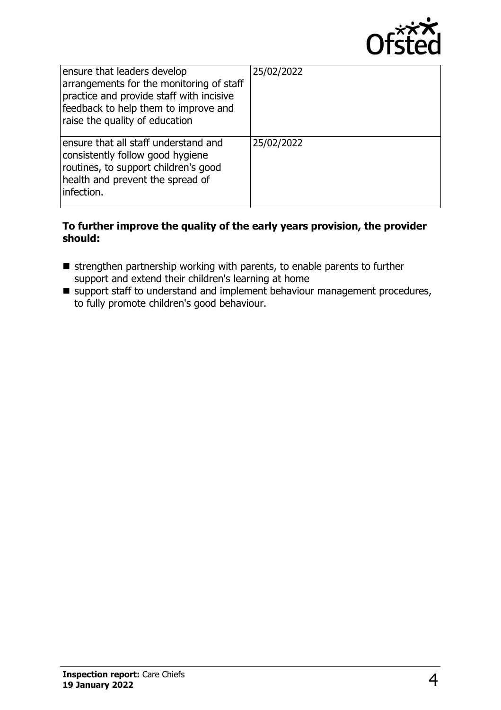

| ensure that leaders develop<br>arrangements for the monitoring of staff<br>practice and provide staff with incisive<br>feedback to help them to improve and<br>raise the quality of education | 25/02/2022 |
|-----------------------------------------------------------------------------------------------------------------------------------------------------------------------------------------------|------------|
| ensure that all staff understand and<br>consistently follow good hygiene<br>routines, to support children's good<br>health and prevent the spread of<br>infection.                            | 25/02/2022 |

#### **To further improve the quality of the early years provision, the provider should:**

- $\blacksquare$  strengthen partnership working with parents, to enable parents to further support and extend their children's learning at home
- $\blacksquare$  support staff to understand and implement behaviour management procedures, to fully promote children's good behaviour.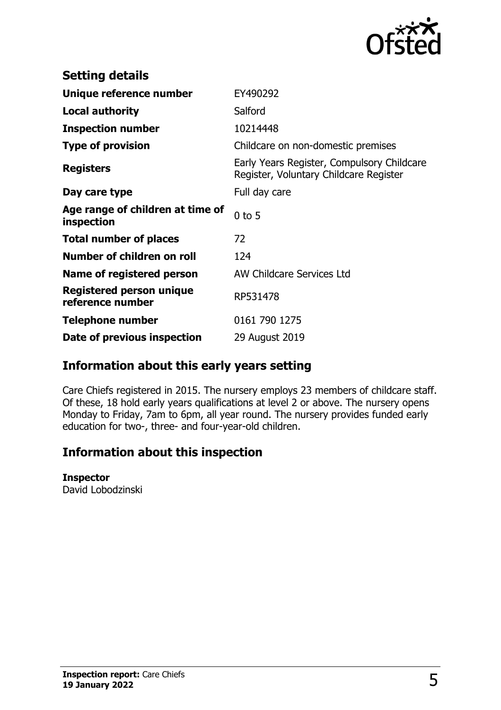

| <b>Setting details</b>                              |                                                                                      |
|-----------------------------------------------------|--------------------------------------------------------------------------------------|
| Unique reference number                             | EY490292                                                                             |
| <b>Local authority</b>                              | Salford                                                                              |
| <b>Inspection number</b>                            | 10214448                                                                             |
| <b>Type of provision</b>                            | Childcare on non-domestic premises                                                   |
| <b>Registers</b>                                    | Early Years Register, Compulsory Childcare<br>Register, Voluntary Childcare Register |
| Day care type                                       | Full day care                                                                        |
| Age range of children at time of<br>inspection      | $0$ to 5                                                                             |
| <b>Total number of places</b>                       | 72                                                                                   |
| Number of children on roll                          | 124                                                                                  |
| Name of registered person                           | AW Childcare Services Ltd                                                            |
| <b>Registered person unique</b><br>reference number | RP531478                                                                             |
| <b>Telephone number</b>                             | 0161 790 1275                                                                        |
| Date of previous inspection                         | 29 August 2019                                                                       |

## **Information about this early years setting**

Care Chiefs registered in 2015. The nursery employs 23 members of childcare staff. Of these, 18 hold early years qualifications at level 2 or above. The nursery opens Monday to Friday, 7am to 6pm, all year round. The nursery provides funded early education for two-, three- and four-year-old children.

## **Information about this inspection**

#### **Inspector**

David Lobodzinski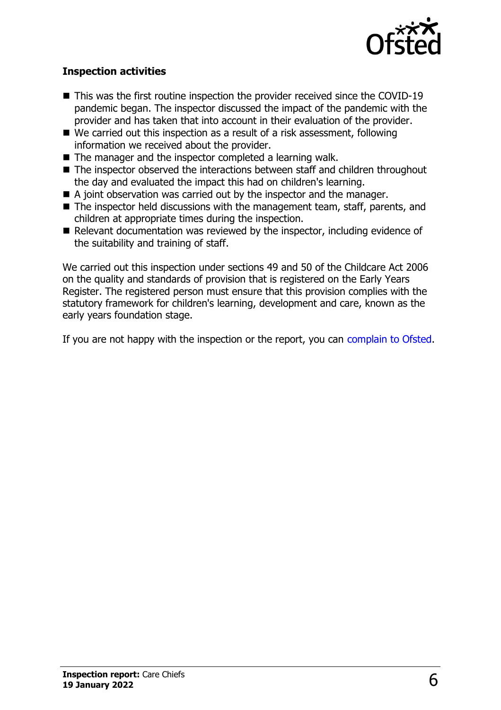

#### **Inspection activities**

- $\blacksquare$  This was the first routine inspection the provider received since the COVID-19 pandemic began. The inspector discussed the impact of the pandemic with the provider and has taken that into account in their evaluation of the provider.
- $\blacksquare$  We carried out this inspection as a result of a risk assessment, following information we received about the provider.
- $\blacksquare$  The manager and the inspector completed a learning walk.
- $\blacksquare$  The inspector observed the interactions between staff and children throughout the day and evaluated the impact this had on children's learning.
- $\blacksquare$  A joint observation was carried out by the inspector and the manager.
- $\blacksquare$  The inspector held discussions with the management team, staff, parents, and children at appropriate times during the inspection.
- $\blacksquare$  Relevant documentation was reviewed by the inspector, including evidence of the suitability and training of staff.

We carried out this inspection under sections 49 and 50 of the Childcare Act 2006 on the quality and standards of provision that is registered on the Early Years Register. The registered person must ensure that this provision complies with the statutory framework for children's learning, development and care, known as the early years foundation stage.

If you are not happy with the inspection or the report, you can [complain to Ofsted](http://www.gov.uk/complain-ofsted-report).